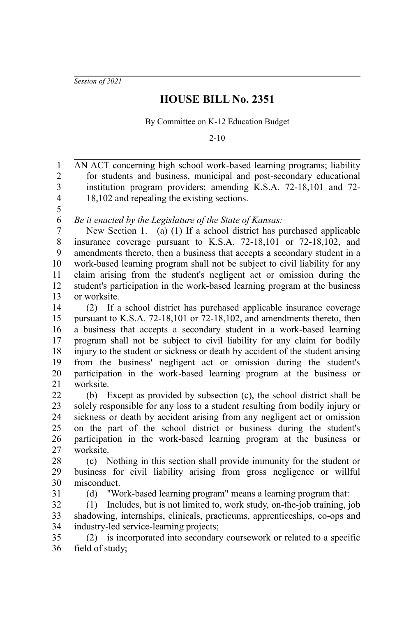*Session of 2021*

## **HOUSE BILL No. 2351**

By Committee on K-12 Education Budget

2-10

AN ACT concerning high school work-based learning programs; liability for students and business, municipal and post-secondary educational institution program providers; amending K.S.A. 72-18,101 and 72- 18,102 and repealing the existing sections. *Be it enacted by the Legislature of the State of Kansas:* New Section 1. (a) (1) If a school district has purchased applicable insurance coverage pursuant to K.S.A. 72-18,101 or 72-18,102, and amendments thereto, then a business that accepts a secondary student in a work-based learning program shall not be subject to civil liability for any claim arising from the student's negligent act or omission during the student's participation in the work-based learning program at the business or worksite. (2) If a school district has purchased applicable insurance coverage pursuant to K.S.A. 72-18,101 or 72-18,102, and amendments thereto, then a business that accepts a secondary student in a work-based learning program shall not be subject to civil liability for any claim for bodily injury to the student or sickness or death by accident of the student arising from the business' negligent act or omission during the student's participation in the work-based learning program at the business or worksite. (b) Except as provided by subsection (c), the school district shall be solely responsible for any loss to a student resulting from bodily injury or sickness or death by accident arising from any negligent act or omission on the part of the school district or business during the student's participation in the work-based learning program at the business or worksite. (c) Nothing in this section shall provide immunity for the student or business for civil liability arising from gross negligence or willful misconduct. (d) "Work-based learning program" means a learning program that: (1) Includes, but is not limited to, work study, on-the-job training, job shadowing, internships, clinicals, practicums, apprenticeships, co-ops and industry-led service-learning projects; (2) is incorporated into secondary coursework or related to a specific field of study; 1 2 3 4 5 6 7 8 9 10 11 12 13 14 15 16 17 18 19 20 21 22 23 24 25 26 27 28 29 30 31 32 33 34 35 36